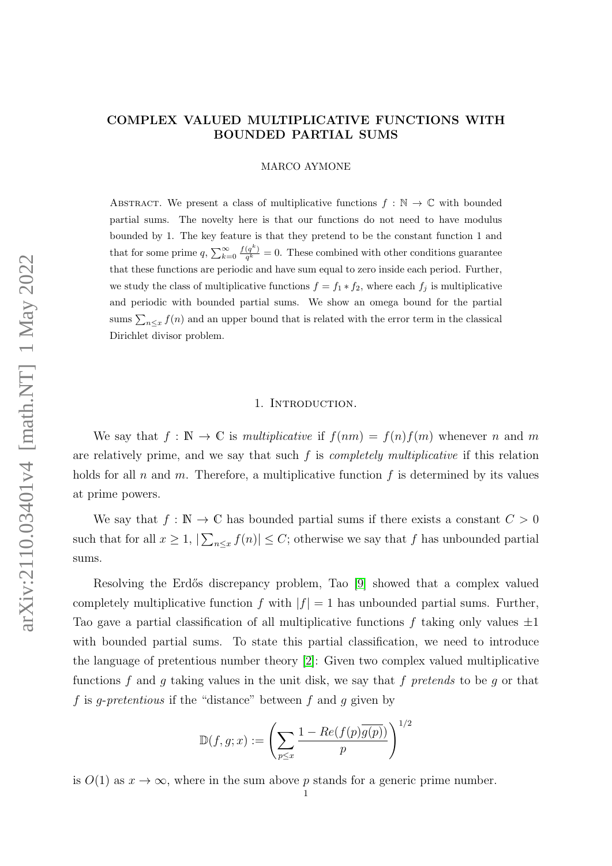# COMPLEX VALUED MULTIPLICATIVE FUNCTIONS WITH BOUNDED PARTIAL SUMS

MARCO AYMONE

ABSTRACT. We present a class of multiplicative functions  $f : \mathbb{N} \to \mathbb{C}$  with bounded partial sums. The novelty here is that our functions do not need to have modulus bounded by 1. The key feature is that they pretend to be the constant function 1 and that for some prime  $q$ ,  $\sum_{k=0}^{\infty} \frac{f(q^k)}{q^k}$  $\frac{(q)}{q^k} = 0$ . These combined with other conditions guarantee that these functions are periodic and have sum equal to zero inside each period. Further, we study the class of multiplicative functions  $f = f_1 * f_2$ , where each  $f_j$  is multiplicative and periodic with bounded partial sums. We show an omega bound for the partial sums  $\sum_{n\leq x} f(n)$  and an upper bound that is related with the error term in the classical Dirichlet divisor problem.

#### 1. INTRODUCTION.

We say that  $f : \mathbb{N} \to \mathbb{C}$  is multiplicative if  $f(nm) = f(n)f(m)$  whenever n and m are relatively prime, and we say that such  $f$  is *completely multiplicative* if this relation holds for all n and m. Therefore, a multiplicative function f is determined by its values at prime powers.

We say that  $f : \mathbb{N} \to \mathbb{C}$  has bounded partial sums if there exists a constant  $C > 0$ such that for all  $x \geq 1$ ,  $|\sum_{n \leq x} f(n)| \leq C$ ; otherwise we say that f has unbounded partial sums.

Resolving the Erdős discrepancy problem, Tao [\[9\]](#page-11-0) showed that a complex valued completely multiplicative function f with  $|f| = 1$  has unbounded partial sums. Further, Tao gave a partial classification of all multiplicative functions f taking only values  $\pm 1$ with bounded partial sums. To state this partial classification, we need to introduce the language of pretentious number theory [\[2\]](#page-11-1): Given two complex valued multiplicative functions f and g taking values in the unit disk, we say that f pretends to be g or that f is g-pretentious if the "distance" between f and g given by

$$
\mathbb{D}(f,g;x) := \left(\sum_{p \le x} \frac{1 - Re(f(p)\overline{g(p)})}{p}\right)^{1/2}
$$

is  $O(1)$  as  $x \to \infty$ , where in the sum above p stands for a generic prime number.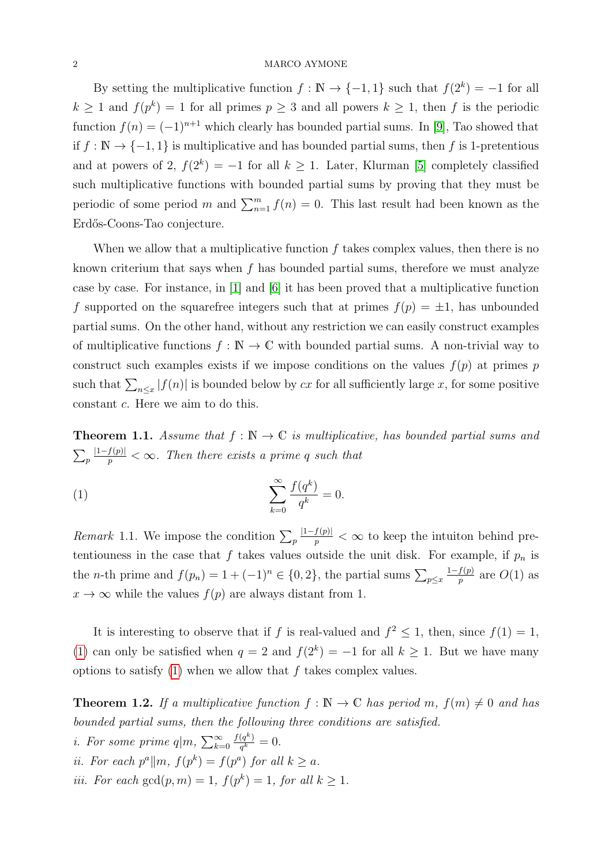By setting the multiplicative function  $f : \mathbb{N} \to \{-1, 1\}$  such that  $f(2^k) = -1$  for all  $k \geq 1$  and  $f(p^k) = 1$  for all primes  $p \geq 3$  and all powers  $k \geq 1$ , then f is the periodic function  $f(n) = (-1)^{n+1}$  which clearly has bounded partial sums. In [\[9\]](#page-11-0), Tao showed that if  $f : \mathbb{N} \to \{-1, 1\}$  is multiplicative and has bounded partial sums, then f is 1-pretentious and at powers of 2,  $f(2^k) = -1$  for all  $k \ge 1$ . Later, Klurman [\[5\]](#page-11-2) completely classified such multiplicative functions with bounded partial sums by proving that they must be periodic of some period m and  $\sum_{n=1}^{m} f(n) = 0$ . This last result had been known as the Erdős-Coons-Tao conjecture.

When we allow that a multiplicative function  $f$  takes complex values, then there is no known criterium that says when f has bounded partial sums, therefore we must analyze case by case. For instance, in [\[1\]](#page-11-3) and [\[6\]](#page-11-4) it has been proved that a multiplicative function f supported on the squarefree integers such that at primes  $f(p) = \pm 1$ , has unbounded partial sums. On the other hand, without any restriction we can easily construct examples of multiplicative functions  $f : \mathbb{N} \to \mathbb{C}$  with bounded partial sums. A non-trivial way to construct such examples exists if we impose conditions on the values  $f(p)$  at primes p such that  $\sum_{n\leq x}|f(n)|$  is bounded below by cx for all sufficiently large x, for some positive constant c. Here we aim to do this.

<span id="page-1-2"></span>**Theorem 1.1.** Assume that  $f : \mathbb{N} \to \mathbb{C}$  is multiplicative, has bounded partial sums and  $\sum_p$  $|1-f(p)|$  $\frac{f(p)}{p} < \infty$ . Then there exists a prime q such that

<span id="page-1-0"></span>(1) 
$$
\sum_{k=0}^{\infty} \frac{f(q^k)}{q^k} = 0.
$$

*Remark* 1.1. We impose the condition  $\sum_{p}$  $|1-f(p)|$  $\frac{f(p)}{p} < \infty$  to keep the intuiton behind pretentiouness in the case that f takes values outside the unit disk. For example, if  $p_n$  is the *n*-th prime and  $f(p_n) = 1 + (-1)^n \in \{0, 2\}$ , the partial sums  $\sum_{p \leq x}$  $1-f(p)$  $\frac{f(p)}{p}$  are  $O(1)$  as  $x \to \infty$  while the values  $f(p)$  are always distant from 1.

It is interesting to observe that if f is real-valued and  $f^2 \leq 1$ , then, since  $f(1) = 1$ , [\(1\)](#page-1-0) can only be satisfied when  $q = 2$  and  $f(2^k) = -1$  for all  $k \ge 1$ . But we have many options to satisfy  $(1)$  when we allow that f takes complex values.

<span id="page-1-1"></span>**Theorem 1.2.** If a multiplicative function  $f : \mathbb{N} \to \mathbb{C}$  has period m,  $f(m) \neq 0$  and has bounded partial sums, then the following three conditions are satisfied.

*i.* For some prime  $q|m, \sum_{k=0}^{\infty}$  $f(q^k)$  $\frac{(q^n)}{q^k} = 0.$ 

*ii.* For each  $p^a||m$ ,  $f(p^k) = f(p^a)$  for all  $k \ge a$ .

*iii.* For each  $gcd(p, m) = 1$ ,  $f(p^k) = 1$ , for all  $k \ge 1$ .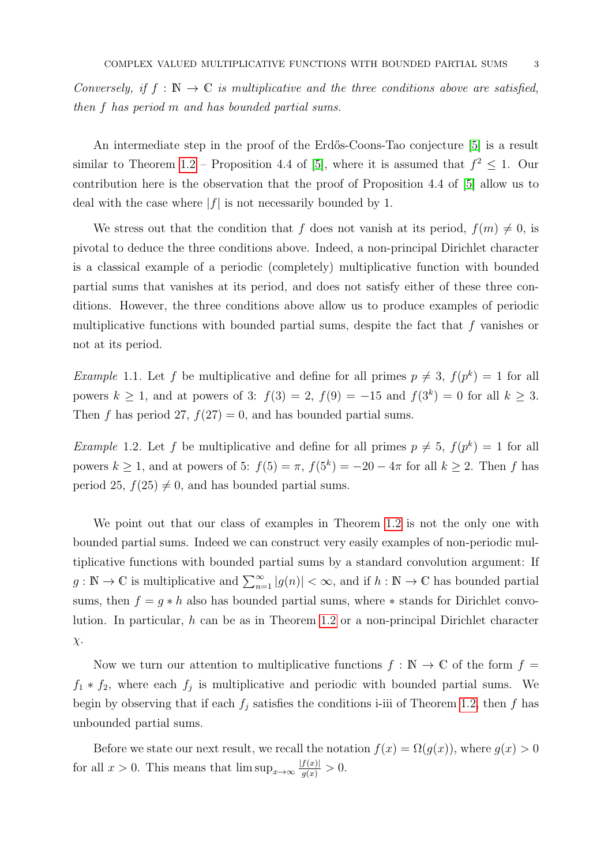Conversely, if  $f : \mathbb{N} \to \mathbb{C}$  is multiplicative and the three conditions above are satisfied, then f has period m and has bounded partial sums.

An intermediate step in the proof of the Erdős-Coons-Tao conjecture [\[5\]](#page-11-2) is a result similar to Theorem [1.2](#page-1-1) – Proposition 4.4 of [\[5\]](#page-11-2), where it is assumed that  $f^2 \leq 1$ . Our contribution here is the observation that the proof of Proposition 4.4 of [\[5\]](#page-11-2) allow us to deal with the case where  $|f|$  is not necessarily bounded by 1.

We stress out that the condition that f does not vanish at its period,  $f(m) \neq 0$ , is pivotal to deduce the three conditions above. Indeed, a non-principal Dirichlet character is a classical example of a periodic (completely) multiplicative function with bounded partial sums that vanishes at its period, and does not satisfy either of these three conditions. However, the three conditions above allow us to produce examples of periodic multiplicative functions with bounded partial sums, despite the fact that  $f$  vanishes or not at its period.

*Example* 1.1. Let f be multiplicative and define for all primes  $p \neq 3$ ,  $f(p^k) = 1$  for all powers  $k \ge 1$ , and at powers of 3:  $f(3) = 2$ ,  $f(9) = -15$  and  $f(3<sup>k</sup>) = 0$  for all  $k \ge 3$ . Then f has period 27,  $f(27) = 0$ , and has bounded partial sums.

*Example* 1.2. Let f be multiplicative and define for all primes  $p \neq 5$ ,  $f(p^k) = 1$  for all powers  $k \geq 1$ , and at powers of 5:  $f(5) = \pi$ ,  $f(5^k) = -20 - 4\pi$  for all  $k \geq 2$ . Then f has period 25,  $f(25) \neq 0$ , and has bounded partial sums.

We point out that our class of examples in Theorem [1.2](#page-1-1) is not the only one with bounded partial sums. Indeed we can construct very easily examples of non-periodic multiplicative functions with bounded partial sums by a standard convolution argument: If  $g: \mathbb{N} \to \mathbb{C}$  is multiplicative and  $\sum_{n=1}^{\infty} |g(n)| < \infty$ , and if  $h: \mathbb{N} \to \mathbb{C}$  has bounded partial sums, then  $f = g * h$  also has bounded partial sums, where  $*$  stands for Dirichlet convolution. In particular, h can be as in Theorem [1.2](#page-1-1) or a non-principal Dirichlet character  $\chi$ .

Now we turn our attention to multiplicative functions  $f : \mathbb{N} \to \mathbb{C}$  of the form  $f =$  $f_1 * f_2$ , where each  $f_j$  is multiplicative and periodic with bounded partial sums. We begin by observing that if each  $f_j$  satisfies the conditions i-iii of Theorem [1.2,](#page-1-1) then f has unbounded partial sums.

Before we state our next result, we recall the notation  $f(x) = \Omega(g(x))$ , where  $g(x) > 0$ for all  $x > 0$ . This means that  $\limsup_{x \to \infty} \frac{|f(x)|}{g(x)} > 0$ .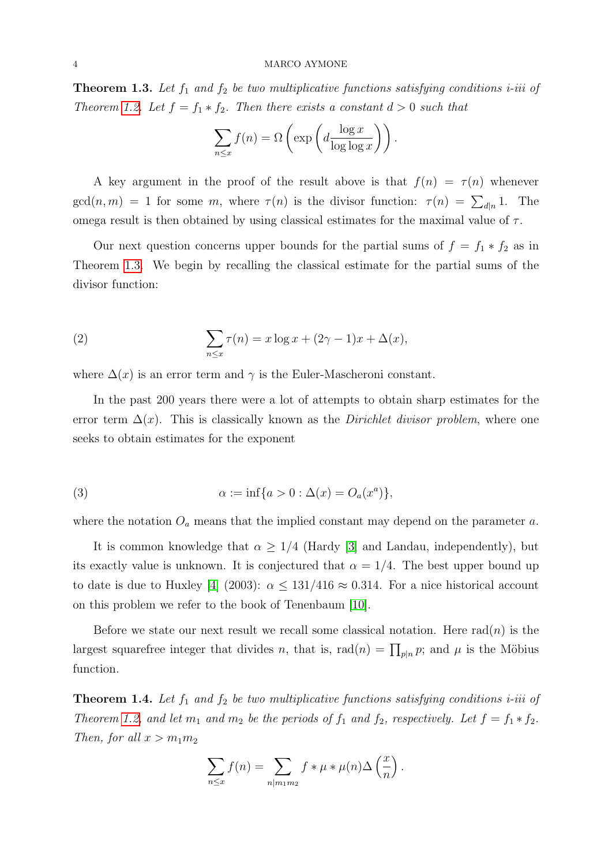<span id="page-3-0"></span>**Theorem 1.3.** Let  $f_1$  and  $f_2$  be two multiplicative functions satisfying conditions *i-iii* of Theorem [1.2.](#page-1-1) Let  $f = f_1 * f_2$ . Then there exists a constant  $d > 0$  such that

$$
\sum_{n \le x} f(n) = \Omega \left( \exp \left( d \frac{\log x}{\log \log x} \right) \right).
$$

A key argument in the proof of the result above is that  $f(n) = \tau(n)$  whenever  $gcd(n,m) = 1$  for some m, where  $\tau(n)$  is the divisor function:  $\tau(n) = \sum_{d|n} 1$ . The omega result is then obtained by using classical estimates for the maximal value of  $\tau$ .

Our next question concerns upper bounds for the partial sums of  $f = f_1 * f_2$  as in Theorem [1.3.](#page-3-0) We begin by recalling the classical estimate for the partial sums of the divisor function:

<span id="page-3-3"></span>(2) 
$$
\sum_{n \leq x} \tau(n) = x \log x + (2\gamma - 1)x + \Delta(x),
$$

where  $\Delta(x)$  is an error term and  $\gamma$  is the Euler-Mascheroni constant.

In the past 200 years there were a lot of attempts to obtain sharp estimates for the error term  $\Delta(x)$ . This is classically known as the *Dirichlet divisor problem*, where one seeks to obtain estimates for the exponent

<span id="page-3-2"></span>(3) 
$$
\alpha := \inf \{ a > 0 : \Delta(x) = O_a(x^a) \},
$$

where the notation  $O_a$  means that the implied constant may depend on the parameter a.

It is common knowledge that  $\alpha \geq 1/4$  (Hardy [\[3\]](#page-11-5) and Landau, independently), but its exactly value is unknown. It is conjectured that  $\alpha = 1/4$ . The best upper bound up to date is due to Huxley [\[4\]](#page-11-6) (2003):  $\alpha \leq 131/416 \approx 0.314$ . For a nice historical account on this problem we refer to the book of Tenenbaum [\[10\]](#page-12-0).

Before we state our next result we recall some classical notation. Here  $rad(n)$  is the largest squarefree integer that divides n, that is, rad $(n) = \prod_{p|n} p$ ; and  $\mu$  is the Möbius function.

<span id="page-3-1"></span>**Theorem 1.4.** Let  $f_1$  and  $f_2$  be two multiplicative functions satisfying conditions *i-iii* of Theorem [1.2,](#page-1-1) and let  $m_1$  and  $m_2$  be the periods of  $f_1$  and  $f_2$ , respectively. Let  $f = f_1 * f_2$ . Then, for all  $x > m_1 m_2$ 

$$
\sum_{n\leq x} f(n) = \sum_{n|m_1m_2} f * \mu * \mu(n) \Delta\left(\frac{x}{n}\right).
$$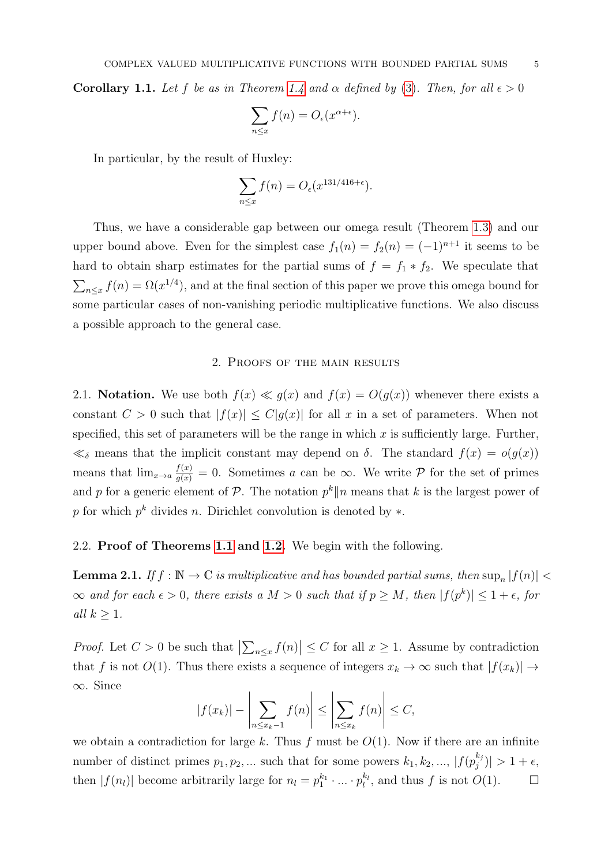# <span id="page-4-1"></span>**Corollary 1.1.** Let f be as in Theorem [1.4](#page-3-1) and  $\alpha$  defined by [\(3\)](#page-3-2). Then, for all  $\epsilon > 0$

$$
\sum_{n \le x} f(n) = O_{\epsilon}(x^{\alpha + \epsilon}).
$$

In particular, by the result of Huxley:

$$
\sum_{n \le x} f(n) = O_{\epsilon}(x^{131/416 + \epsilon}).
$$

Thus, we have a considerable gap between our omega result (Theorem [1.3\)](#page-3-0) and our upper bound above. Even for the simplest case  $f_1(n) = f_2(n) = (-1)^{n+1}$  it seems to be hard to obtain sharp estimates for the partial sums of  $f = f_1 * f_2$ . We speculate that  $\sum_{n\leq x} f(n) = \Omega(x^{1/4})$ , and at the final section of this paper we prove this omega bound for some particular cases of non-vanishing periodic multiplicative functions. We also discuss a possible approach to the general case.

#### 2. Proofs of the main results

2.1. Notation. We use both  $f(x) \ll g(x)$  and  $f(x) = O(g(x))$  whenever there exists a constant  $C > 0$  such that  $|f(x)| \leq C |g(x)|$  for all x in a set of parameters. When not specified, this set of parameters will be the range in which  $x$  is sufficiently large. Further,  $\ll_{\delta}$  means that the implicit constant may depend on  $\delta$ . The standard  $f(x) = o(g(x))$ means that  $\lim_{x\to a} \frac{f(x)}{g(x)} = 0$ . Sometimes a can be  $\infty$ . We write P for the set of primes and p for a generic element of P. The notation  $p^k || n$  means that k is the largest power of p for which  $p^k$  divides n. Dirichlet convolution is denoted by  $*$ .

# 2.2. Proof of Theorems [1.1](#page-1-2) and [1.2.](#page-1-1) We begin with the following.

<span id="page-4-0"></span>**Lemma 2.1.** If  $f : \mathbb{N} \to \mathbb{C}$  is multiplicative and has bounded partial sums, then  $\sup_n |f(n)| <$  $\infty$  and for each  $\epsilon > 0$ , there exists a  $M > 0$  such that if  $p \ge M$ , then  $|f(p^k)| \le 1 + \epsilon$ , for all  $k \geq 1$ .

*Proof.* Let  $C > 0$  be such that  $\left| \sum_{n \leq x} f(n) \right| \leq C$  for all  $x \geq 1$ . Assume by contradiction that f is not  $O(1)$ . Thus there exists a sequence of integers  $x_k \to \infty$  such that  $|f(x_k)| \to$ ∞. Since

$$
|f(x_k)| - \left|\sum_{n \le x_k - 1} f(n)\right| \le \left|\sum_{n \le x_k} f(n)\right| \le C,
$$

we obtain a contradiction for large k. Thus f must be  $O(1)$ . Now if there are an infinite number of distinct primes  $p_1, p_2, ...$  such that for some powers  $k_1, k_2, ..., |f(p_j^{k_j})|$  $\vert f_j^{\kappa_j}\rangle\vert > 1+\epsilon,$ then  $|f(n_l)|$  become arbitrarily large for  $n_l = p_1^{k_1} \cdot ... \cdot p_l^{k_l}$ , and thus f is not  $O(1)$ .  $\Box$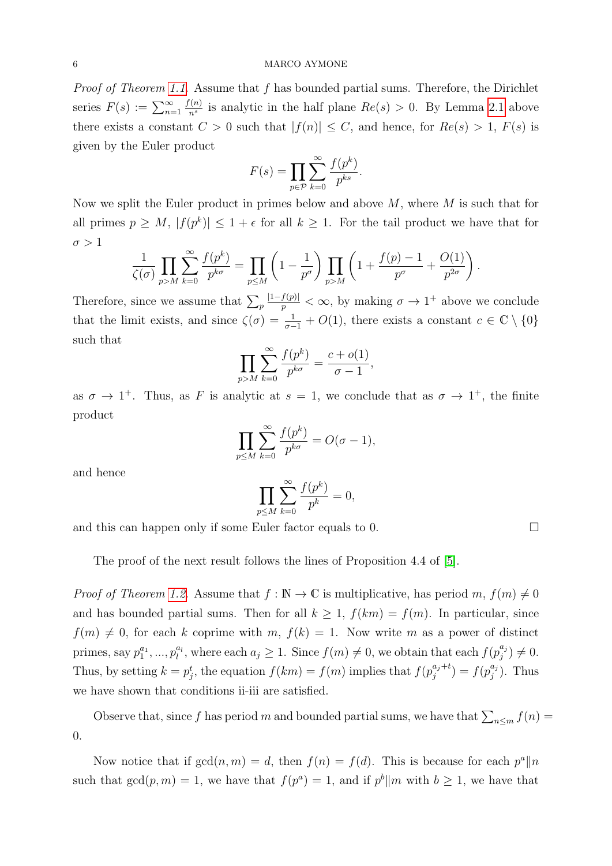*Proof of Theorem [1.1.](#page-1-2)* Assume that  $f$  has bounded partial sums. Therefore, the Dirichlet series  $F(s) := \sum_{n=1}^{\infty}$  $f(n)$  $\frac{n^{(n)}}{n^s}$  is analytic in the half plane  $Re(s) > 0$ . By Lemma [2.1](#page-4-0) above there exists a constant  $C > 0$  such that  $|f(n)| \leq C$ , and hence, for  $Re(s) > 1$ ,  $F(s)$  is given by the Euler product

$$
F(s) = \prod_{p \in \mathcal{P}} \sum_{k=0}^{\infty} \frac{f(p^k)}{p^{ks}}.
$$

Now we split the Euler product in primes below and above  $M$ , where  $M$  is such that for all primes  $p \geq M$ ,  $|f(p^k)| \leq 1 + \epsilon$  for all  $k \geq 1$ . For the tail product we have that for  $\sigma > 1$ 

$$
\frac{1}{\zeta(\sigma)}\prod_{p>M}\sum_{k=0}^{\infty}\frac{f(p^k)}{p^{k\sigma}}=\prod_{p\leq M}\left(1-\frac{1}{p^{\sigma}}\right)\prod_{p>M}\left(1+\frac{f(p)-1}{p^{\sigma}}+\frac{O(1)}{p^{2\sigma}}\right).
$$

Therefore, since we assume that  $\sum_{p}$  $|1-f(p)|$  $\frac{f(p)}{p} < \infty$ , by making  $\sigma \to 1^+$  above we conclude that the limit exists, and since  $\zeta(\sigma) = \frac{1}{\sigma-1} + O(1)$ , there exists a constant  $c \in \mathbb{C} \setminus \{0\}$ such that

$$
\prod_{p>M} \sum_{k=0}^{\infty} \frac{f(p^k)}{p^{k\sigma}} = \frac{c + o(1)}{\sigma - 1},
$$

as  $\sigma \to 1^+$ . Thus, as F is analytic at  $s = 1$ , we conclude that as  $\sigma \to 1^+$ , the finite product

$$
\prod_{p\leq M}\sum_{k=0}^{\infty}\frac{f(p^k)}{p^{k\sigma}}=O(\sigma-1),
$$

and hence

$$
\prod_{p\leq M}\sum_{k=0}^{\infty}\frac{f(p^k)}{p^k}=0,
$$

and this can happen only if some Euler factor equals to 0.

The proof of the next result follows the lines of Proposition 4.4 of [\[5\]](#page-11-2).

*Proof of Theorem [1.2.](#page-1-1)* Assume that  $f : \mathbb{N} \to \mathbb{C}$  is multiplicative, has period  $m, f(m) \neq 0$ and has bounded partial sums. Then for all  $k \geq 1$ ,  $f(km) = f(m)$ . In particular, since  $f(m) \neq 0$ , for each k coprime with m,  $f(k) = 1$ . Now write m as a power of distinct primes, say  $p_1^{a_1},...,p_l^{a_l}$ , where each  $a_j \geq 1$ . Since  $f(m) \neq 0$ , we obtain that each  $f(p_j^{a_j})$  $j^{a_j}_j)\neq 0.$ Thus, by setting  $k = p_j^t$ , the equation  $f(km) = f(m)$  implies that  $f(p_j^{a_j+t})$  $j_j^{a_j+t}$ ) =  $f(p_j^{a_j})$  $j^{a_j}$ ). Thus we have shown that conditions ii-iii are satisfied.

Observe that, since f has period m and bounded partial sums, we have that  $\sum_{n\leq m} f(n)$ 0.

Now notice that if  $gcd(n, m) = d$ , then  $f(n) = f(d)$ . This is because for each  $p^a || n$ such that  $gcd(p, m) = 1$ , we have that  $f(p^a) = 1$ , and if  $p^b || m$  with  $b \ge 1$ , we have that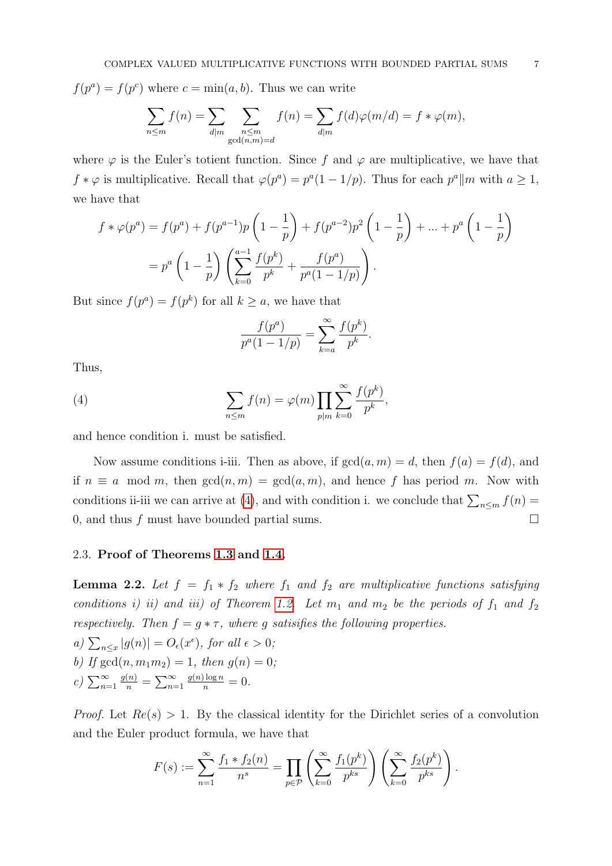$f(p^a) = f(p^c)$  where  $c = \min(a, b)$ . Thus we can write

$$
\sum_{n \le m} f(n) = \sum_{d|m} \sum_{\substack{n \le m \\ \gcd(n,m) = d}} f(n) = \sum_{d|m} f(d) \varphi(m/d) = f * \varphi(m),
$$

where  $\varphi$  is the Euler's totient function. Since f and  $\varphi$  are multiplicative, we have that  $f * \varphi$  is multiplicative. Recall that  $\varphi(p^a) = p^a(1-1/p)$ . Thus for each  $p^a||m$  with  $a \ge 1$ , we have that

$$
f * \varphi(p^a) = f(p^a) + f(p^{a-1})p\left(1 - \frac{1}{p}\right) + f(p^{a-2})p^2\left(1 - \frac{1}{p}\right) + \dots + p^a\left(1 - \frac{1}{p}\right)
$$

$$
= p^a\left(1 - \frac{1}{p}\right)\left(\sum_{k=0}^{a-1} \frac{f(p^k)}{p^k} + \frac{f(p^a)}{p^a(1 - 1/p)}\right).
$$

But since  $f(p^a) = f(p^k)$  for all  $k \ge a$ , we have that

<span id="page-6-0"></span>
$$
\frac{f(p^{a})}{p^{a}(1 - 1/p)} = \sum_{k=a}^{\infty} \frac{f(p^{k})}{p^{k}}.
$$

Thus,

(4) 
$$
\sum_{n \leq m} f(n) = \varphi(m) \prod_{p \mid m} \sum_{k=0}^{\infty} \frac{f(p^k)}{p^k},
$$

and hence condition i. must be satisfied.

Now assume conditions i-iii. Then as above, if  $gcd(a, m) = d$ , then  $f(a) = f(d)$ , and if  $n \equiv a \mod m$ , then  $gcd(n, m) = gcd(a, m)$ , and hence f has period m. Now with conditions ii-iii we can arrive at [\(4\)](#page-6-0), and with condition i. we conclude that  $\sum_{n\leq m} f(n) =$ 0, and thus  $f$  must have bounded partial sums.  $\Box$ 

# 2.3. Proof of Theorems [1.3](#page-3-0) and [1.4.](#page-3-1)

<span id="page-6-1"></span>**Lemma 2.2.** Let  $f = f_1 * f_2$  where  $f_1$  and  $f_2$  are multiplicative functions satisfying conditions i) ii) and iii) of Theorem [1.2.](#page-1-1) Let  $m_1$  and  $m_2$  be the periods of  $f_1$  and  $f_2$ respectively. Then  $f = g * \tau$ , where g satisifies the following properties.

a)  $\sum_{n\leq x} |g(n)| = O_{\epsilon}(x^{\epsilon}),$  for all  $\epsilon > 0$ ; b) If  $gcd(n, m_1m_2) = 1$ , then  $g(n) = 0$ ; c)  $\sum_{n=1}^{\infty}$  $\frac{g(n)}{n} = \sum_{n=1}^{\infty}$  $\frac{g(n)\log n}{n} = 0.$ 

*Proof.* Let  $Re(s) > 1$ . By the classical identity for the Dirichlet series of a convolution and the Euler product formula, we have that

$$
F(s) := \sum_{n=1}^{\infty} \frac{f_1 * f_2(n)}{n^s} = \prod_{p \in \mathcal{P}} \left( \sum_{k=0}^{\infty} \frac{f_1(p^k)}{p^{ks}} \right) \left( \sum_{k=0}^{\infty} \frac{f_2(p^k)}{p^{ks}} \right).
$$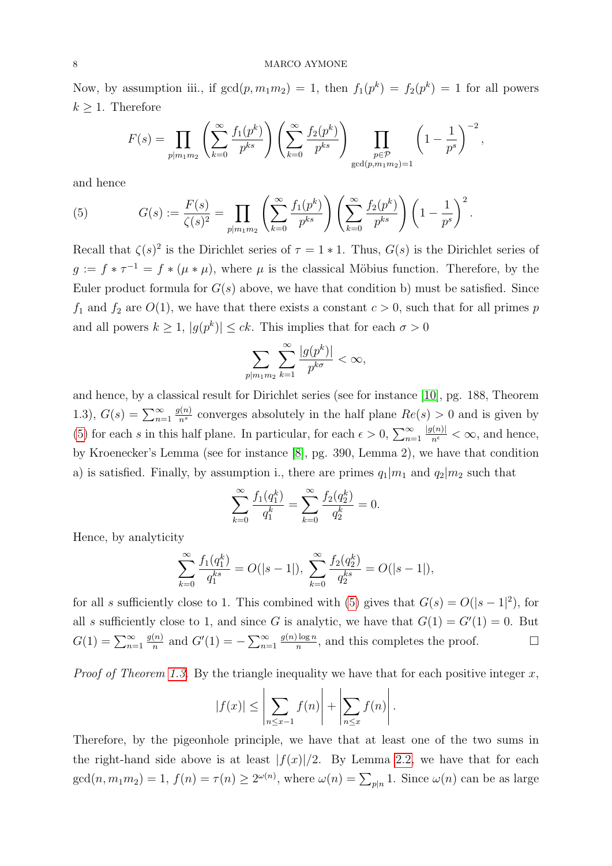Now, by assumption iii., if  $gcd(p, m_1m_2) = 1$ , then  $f_1(p^k) = f_2(p^k) = 1$  for all powers  $k \geq 1$ . Therefore

$$
F(s) = \prod_{p|m_1m_2} \left( \sum_{k=0}^{\infty} \frac{f_1(p^k)}{p^{ks}} \right) \left( \sum_{k=0}^{\infty} \frac{f_2(p^k)}{p^{ks}} \right) \prod_{\substack{p \in \mathcal{P} \\ \gcd(p,m_1m_2)=1}} \left( 1 - \frac{1}{p^s} \right)^{-2},
$$

and hence

<span id="page-7-0"></span>(5) 
$$
G(s) := \frac{F(s)}{\zeta(s)^2} = \prod_{p|m_1m_2} \left( \sum_{k=0}^{\infty} \frac{f_1(p^k)}{p^{ks}} \right) \left( \sum_{k=0}^{\infty} \frac{f_2(p^k)}{p^{ks}} \right) \left( 1 - \frac{1}{p^s} \right)^2.
$$

Recall that  $\zeta(s)^2$  is the Dirichlet series of  $\tau = 1 * 1$ . Thus,  $G(s)$  is the Dirichlet series of  $g := f * \tau^{-1} = f * (\mu * \mu)$ , where  $\mu$  is the classical Möbius function. Therefore, by the Euler product formula for  $G(s)$  above, we have that condition b) must be satisfied. Since  $f_1$  and  $f_2$  are  $O(1)$ , we have that there exists a constant  $c > 0$ , such that for all primes p and all powers  $k \geq 1$ ,  $|g(p^k)| \leq ck$ . This implies that for each  $\sigma > 0$ 

$$
\sum_{p|m_1m_2} \sum_{k=1}^{\infty} \frac{|g(p^k)|}{p^{k\sigma}} < \infty,
$$

and hence, by a classical result for Dirichlet series (see for instance [\[10\]](#page-12-0), pg. 188, Theorem 1.3),  $G(s) = \sum_{n=1}^{\infty}$  $\frac{g(n)}{n^s}$  converges absolutely in the half plane  $Re(s) > 0$  and is given by [\(5\)](#page-7-0) for each s in this half plane. In particular, for each  $\epsilon > 0$ ,  $\sum_{n=1}^{\infty}$  $\frac{|g(n)|}{n^{\epsilon}} < \infty$ , and hence, by Kroenecker's Lemma (see for instance [\[8\]](#page-11-7), pg. 390, Lemma 2), we have that condition a) is satisfied. Finally, by assumption i., there are primes  $q_1|m_1$  and  $q_2|m_2$  such that

$$
\sum_{k=0}^{\infty} \frac{f_1(q_1^k)}{q_1^k} = \sum_{k=0}^{\infty} \frac{f_2(q_2^k)}{q_2^k} = 0.
$$

Hence, by analyticity

$$
\sum_{k=0}^{\infty} \frac{f_1(q_1^k)}{q_1^{ks}} = O(|s-1|), \ \sum_{k=0}^{\infty} \frac{f_2(q_2^k)}{q_2^{ks}} = O(|s-1|),
$$

for all s sufficiently close to 1. This combined with [\(5\)](#page-7-0) gives that  $G(s) = O(|s-1|^2)$ , for all s sufficiently close to 1, and since G is analytic, we have that  $G(1) = G'(1) = 0$ . But  $G(1) = \sum_{n=1}^{\infty}$  $g(n)$  $\frac{(n)}{n}$  and  $G'(1) = -\sum_{n=1}^{\infty}$  $g(n)$  log n  $\frac{n \log n}{n}$ , and this completes the proof.

*Proof of Theorem [1.3.](#page-3-0)* By the triangle inequality we have that for each positive integer  $x$ ,

$$
|f(x)| \leq \left| \sum_{n \leq x-1} f(n) \right| + \left| \sum_{n \leq x} f(n) \right|.
$$

Therefore, by the pigeonhole principle, we have that at least one of the two sums in the right-hand side above is at least  $|f(x)|/2$ . By Lemma [2.2,](#page-6-1) we have that for each  $gcd(n, m_1 m_2) = 1, f(n) = \tau(n) \ge 2^{\omega(n)}$ , where  $\omega(n) = \sum_{p|n} 1$ . Since  $\omega(n)$  can be as large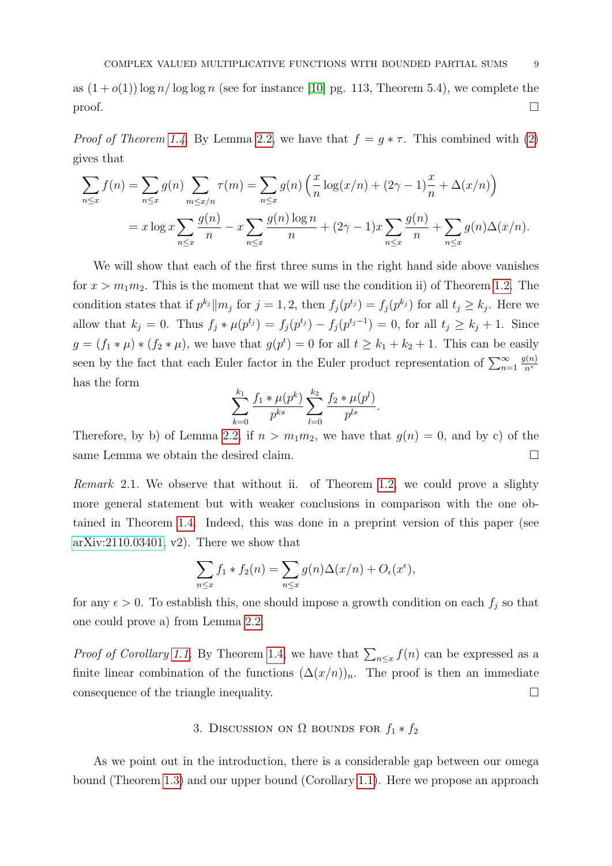as  $(1+o(1)) \log n / \log \log n$  (see for instance [\[10\]](#page-12-0) pg. 113, Theorem 5.4), we complete the  $\Box$ 

*Proof of Theorem [1.4.](#page-3-1)* By Lemma [2.2,](#page-6-1) we have that  $f = g * \tau$ . This combined with [\(2\)](#page-3-3) gives that

$$
\sum_{n \le x} f(n) = \sum_{n \le x} g(n) \sum_{m \le x/n} \tau(m) = \sum_{n \le x} g(n) \left( \frac{x}{n} \log(x/n) + (2\gamma - 1) \frac{x}{n} + \Delta(x/n) \right)
$$
  
=  $x \log x \sum_{n \le x} \frac{g(n)}{n} - x \sum_{n \le x} \frac{g(n) \log n}{n} + (2\gamma - 1)x \sum_{n \le x} \frac{g(n)}{n} + \sum_{n \le x} g(n) \Delta(x/n).$ 

We will show that each of the first three sums in the right hand side above vanishes for  $x > m_1 m_2$ . This is the moment that we will use the condition ii) of Theorem [1.2.](#page-1-1) The condition states that if  $p^{k_j} \| m_j$  for  $j = 1, 2$ , then  $f_j(p^{t_j}) = f_j(p^{k_j})$  for all  $t_j \geq k_j$ . Here we allow that  $k_j = 0$ . Thus  $f_j * \mu(p^{t_j}) = f_j(p^{t_j}) - f_j(p^{t_j-1}) = 0$ , for all  $t_j \ge k_j + 1$ . Since  $g = (f_1 * \mu) * (f_2 * \mu)$ , we have that  $g(p^t) = 0$  for all  $t \geq k_1 + k_2 + 1$ . This can be easily seen by the fact that each Euler factor in the Euler product representation of  $\sum_{n=1}^{\infty}$  $g(n)$  $\overline{n^s}$ has the form

$$
\sum_{k=0}^{k_1} \frac{f_1 * \mu(p^k)}{p^{ks}} \sum_{l=0}^{k_2} \frac{f_2 * \mu(p^l)}{p^{ls}}.
$$

Therefore, by b) of Lemma [2.2,](#page-6-1) if  $n > m_1 m_2$ , we have that  $g(n) = 0$ , and by c) of the same Lemma we obtain the desired claim.  $\Box$ 

Remark 2.1. We observe that without ii. of Theorem [1.2,](#page-1-1) we could prove a slighty more general statement but with weaker conclusions in comparison with the one obtained in Theorem [1.4.](#page-3-1) Indeed, this was done in a preprint version of this paper (see  $arXiv:2110.03401, v2$  $arXiv:2110.03401, v2$ . There we show that

$$
\sum_{n \le x} f_1 * f_2(n) = \sum_{n \le x} g(n) \Delta(x/n) + O_{\epsilon}(x^{\epsilon}),
$$

for any  $\epsilon > 0$ . To establish this, one should impose a growth condition on each  $f_j$  so that one could prove a) from Lemma [2.2.](#page-6-1)

*Proof of Corollary [1.1.](#page-4-1)* By Theorem [1.4,](#page-3-1) we have that  $\sum_{n\leq x} f(n)$  can be expressed as a finite linear combination of the functions  $(\Delta(x/n))_n$ . The proof is then an immediate consequence of the triangle inequality.

# 3. DISCUSSION ON  $\Omega$  bounds for  $f_1 * f_2$

As we point out in the introduction, there is a considerable gap between our omega bound (Theorem [1.3\)](#page-3-0) and our upper bound (Corollary [1.1\)](#page-4-1). Here we propose an approach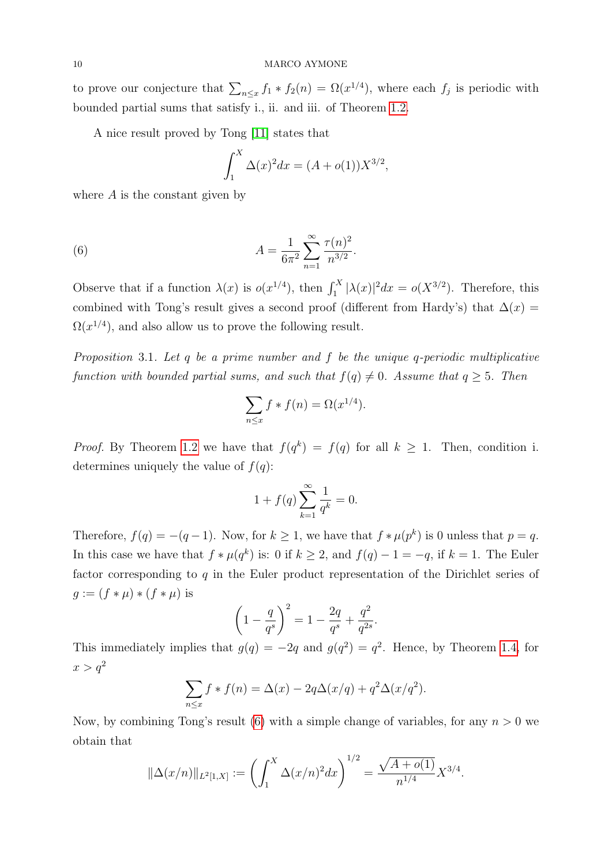to prove our conjecture that  $\sum_{n\leq x} f_1 * f_2(n) = \Omega(x^{1/4})$ , where each  $f_j$  is periodic with bounded partial sums that satisfy i., ii. and iii. of Theorem [1.2.](#page-1-1)

A nice result proved by Tong [\[11\]](#page-12-1) states that

<span id="page-9-0"></span>
$$
\int_{1}^{X} \Delta(x)^{2} dx = (A + o(1))X^{3/2},
$$

where  $A$  is the constant given by

(6) 
$$
A = \frac{1}{6\pi^2} \sum_{n=1}^{\infty} \frac{\tau(n)^2}{n^{3/2}}
$$

Observe that if a function  $\lambda(x)$  is  $o(x^{1/4})$ , then  $\int_1^X |\lambda(x)|^2 dx = o(X^{3/2})$ . Therefore, this combined with Tong's result gives a second proof (different from Hardy's) that  $\Delta(x)$  =  $\Omega(x^{1/4})$ , and also allow us to prove the following result.

.

Proposition 3.1. Let q be a prime number and f be the unique q-periodic multiplicative function with bounded partial sums, and such that  $f(q) \neq 0$ . Assume that  $q \geq 5$ . Then

$$
\sum_{n \le x} f * f(n) = \Omega(x^{1/4}).
$$

*Proof.* By Theorem [1.2](#page-1-1) we have that  $f(q^k) = f(q)$  for all  $k \ge 1$ . Then, condition i. determines uniquely the value of  $f(q)$ :

$$
1 + f(q) \sum_{k=1}^{\infty} \frac{1}{q^k} = 0.
$$

Therefore,  $f(q) = -(q-1)$ . Now, for  $k \ge 1$ , we have that  $f * \mu(p^k)$  is 0 unless that  $p = q$ . In this case we have that  $f * \mu(q^k)$  is: 0 if  $k \geq 2$ , and  $f(q) - 1 = -q$ , if  $k = 1$ . The Euler factor corresponding to  $q$  in the Euler product representation of the Dirichlet series of  $g := (f * \mu) * (f * \mu)$  is

$$
\left(1 - \frac{q}{q^s}\right)^2 = 1 - \frac{2q}{q^s} + \frac{q^2}{q^{2s}}.
$$

This immediately implies that  $g(q) = -2q$  and  $g(q^2) = q^2$ . Hence, by Theorem [1.4,](#page-3-1) for  $x > q^2$ 

$$
\sum_{n \le x} f * f(n) = \Delta(x) - 2q\Delta(x/q) + q^2 \Delta(x/q^2).
$$

Now, by combining Tong's result [\(6\)](#page-9-0) with a simple change of variables, for any  $n > 0$  we obtain that

$$
\|\Delta(x/n)\|_{L^2[1,X]} := \left(\int_1^X \Delta(x/n)^2 dx\right)^{1/2} = \frac{\sqrt{A+o(1)}}{n^{1/4}} X^{3/4}.
$$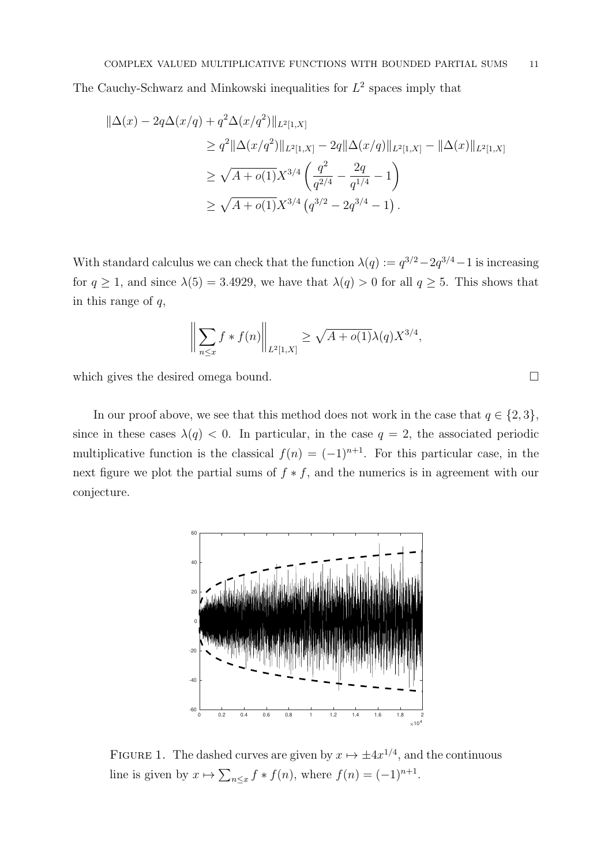The Cauchy-Schwarz and Minkowski inequalities for  $L^2$  spaces imply that

$$
\|\Delta(x) - 2q\Delta(x/q) + q^2\Delta(x/q^2)\|_{L^2[1,X]}
$$
  
\n
$$
\ge q^2 \|\Delta(x/q^2)\|_{L^2[1,X]} - 2q \|\Delta(x/q)\|_{L^2[1,X]} - \|\Delta(x)\|_{L^2[1,X]}
$$
  
\n
$$
\ge \sqrt{A + o(1)} X^{3/4} \left(\frac{q^2}{q^{2/4}} - \frac{2q}{q^{1/4}} - 1\right)
$$
  
\n
$$
\ge \sqrt{A + o(1)} X^{3/4} \left(q^{3/2} - 2q^{3/4} - 1\right).
$$

With standard calculus we can check that the function  $\lambda(q) := q^{3/2} - 2q^{3/4} - 1$  is increasing for  $q \ge 1$ , and since  $\lambda(5) = 3.4929$ , we have that  $\lambda(q) > 0$  for all  $q \ge 5$ . This shows that in this range of  $q$ ,

$$
\left\| \sum_{n \le x} f * f(n) \right\|_{L^2[1,X]} \ge \sqrt{A + o(1)} \lambda(q) X^{3/4},
$$

which gives the desired omega bound.

In our proof above, we see that this method does not work in the case that  $q \in \{2,3\}$ , since in these cases  $\lambda(q) < 0$ . In particular, in the case  $q = 2$ , the associated periodic multiplicative function is the classical  $f(n) = (-1)^{n+1}$ . For this particular case, in the next figure we plot the partial sums of  $f * f$ , and the numerics is in agreement with our conjecture.



FIGURE 1. The dashed curves are given by  $x \mapsto \pm 4x^{1/4}$ , and the continuous line is given by  $x \mapsto \sum_{n \le x} f * f(n)$ , where  $f(n) = (-1)^{n+1}$ .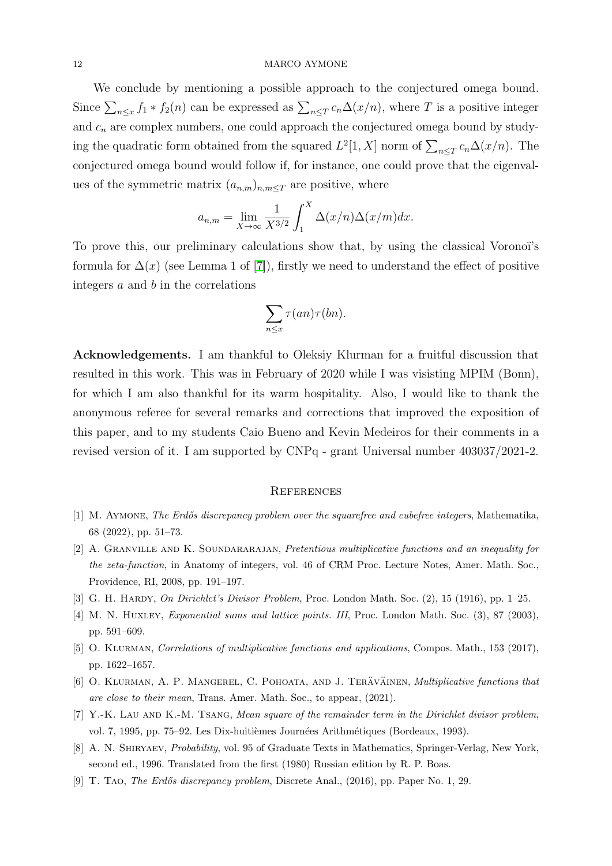We conclude by mentioning a possible approach to the conjectured omega bound. Since  $\sum_{n\leq x} f_1 * f_2(n)$  can be expressed as  $\sum_{n\leq T} c_n \Delta(x/n)$ , where T is a positive integer and  $c_n$  are complex numbers, one could approach the conjectured omega bound by studying the quadratic form obtained from the squared  $L^2[1, X]$  norm of  $\sum_{n \le T} c_n \Delta(x/n)$ . The conjectured omega bound would follow if, for instance, one could prove that the eigenvalues of the symmetric matrix  $(a_{n,m})_{n,m\leq T}$  are positive, where

$$
a_{n,m} = \lim_{X \to \infty} \frac{1}{X^{3/2}} \int_1^X \Delta(x/n) \Delta(x/m) dx.
$$

To prove this, our preliminary calculations show that, by using the classical Voronoï's formula for  $\Delta(x)$  (see Lemma 1 of [\[7\]](#page-11-8)), firstly we need to understand the effect of positive integers a and b in the correlations

$$
\sum_{n\leq x}\tau(an)\tau(bn).
$$

Acknowledgements. I am thankful to Oleksiy Klurman for a fruitful discussion that resulted in this work. This was in February of 2020 while I was visisting MPIM (Bonn), for which I am also thankful for its warm hospitality. Also, I would like to thank the anonymous referee for several remarks and corrections that improved the exposition of this paper, and to my students Caio Bueno and Kevin Medeiros for their comments in a revised version of it. I am supported by CNPq - grant Universal number 403037/2021-2.

### **REFERENCES**

- <span id="page-11-3"></span>[1] M. AYMONE, The Erdős discrepancy problem over the squarefree and cubefree integers, Mathematika, 68 (2022), pp. 51–73.
- <span id="page-11-1"></span>[2] A. GRANVILLE AND K. SOUNDARARAJAN, Pretentious multiplicative functions and an inequality for the zeta-function, in Anatomy of integers, vol. 46 of CRM Proc. Lecture Notes, Amer. Math. Soc., Providence, RI, 2008, pp. 191–197.
- <span id="page-11-5"></span>[3] G. H. HARDY, On Dirichlet's Divisor Problem, Proc. London Math. Soc. (2), 15 (1916), pp. 1–25.
- <span id="page-11-6"></span>[4] M. N. HUXLEY, *Exponential sums and lattice points. III*, Proc. London Math. Soc. (3), 87 (2003), pp. 591–609.
- <span id="page-11-2"></span>[5] O. KLURMAN, Correlations of multiplicative functions and applications, Compos. Math., 153 (2017), pp. 1622–1657.
- <span id="page-11-4"></span>[6] O. KLURMAN, A. P. MANGEREL, C. POHOATA, AND J. TERÄVÄINEN, *Multiplicative functions that* are close to their mean, Trans. Amer. Math. Soc., to appear, (2021).
- <span id="page-11-8"></span>[7] Y.-K. LAU AND K.-M. TSANG, Mean square of the remainder term in the Dirichlet divisor problem, vol. 7, 1995, pp. 75–92. Les Dix-huitièmes Journées Arithmétiques (Bordeaux, 1993).
- <span id="page-11-7"></span>[8] A. N. SHIRYAEV, Probability, vol. 95 of Graduate Texts in Mathematics, Springer-Verlag, New York, second ed., 1996. Translated from the first (1980) Russian edition by R. P. Boas.
- <span id="page-11-0"></span>[9] T. TAO, The Erdős discrepancy problem, Discrete Anal., (2016), pp. Paper No. 1, 29.